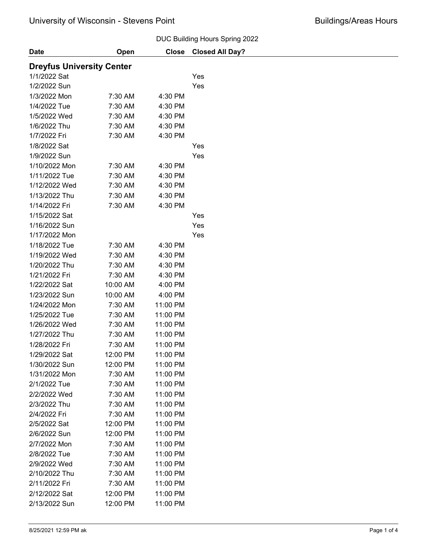#### DUC Building Hours Spring 2022

| <b>Date</b>                      | Open     | <b>Close</b> | DOO Dallallig Tiodio Opillig 2022<br><b>Closed All Day?</b> |
|----------------------------------|----------|--------------|-------------------------------------------------------------|
|                                  |          |              |                                                             |
| <b>Dreyfus University Center</b> |          |              |                                                             |
| 1/1/2022 Sat                     |          |              | Yes                                                         |
| 1/2/2022 Sun                     |          |              | Yes                                                         |
| 1/3/2022 Mon                     | 7:30 AM  | 4:30 PM      |                                                             |
| 1/4/2022 Tue                     | 7:30 AM  | 4:30 PM      |                                                             |
| 1/5/2022 Wed                     | 7:30 AM  | 4:30 PM      |                                                             |
| 1/6/2022 Thu                     | 7:30 AM  | 4:30 PM      |                                                             |
| 1/7/2022 Fri                     | 7:30 AM  | 4:30 PM      |                                                             |
| 1/8/2022 Sat                     |          |              | Yes                                                         |
| 1/9/2022 Sun                     |          |              | Yes                                                         |
| 1/10/2022 Mon                    | 7:30 AM  | 4:30 PM      |                                                             |
| 1/11/2022 Tue                    | 7:30 AM  | 4:30 PM      |                                                             |
| 1/12/2022 Wed                    | 7:30 AM  | 4:30 PM      |                                                             |
| 1/13/2022 Thu                    | 7:30 AM  | 4:30 PM      |                                                             |
| 1/14/2022 Fri                    | 7:30 AM  | 4:30 PM      |                                                             |
| 1/15/2022 Sat                    |          |              | Yes                                                         |
| 1/16/2022 Sun                    |          |              | Yes                                                         |
| 1/17/2022 Mon                    |          |              | Yes                                                         |
| 1/18/2022 Tue                    | 7:30 AM  | 4:30 PM      |                                                             |
| 1/19/2022 Wed                    | 7:30 AM  | 4:30 PM      |                                                             |
| 1/20/2022 Thu                    | 7:30 AM  | 4:30 PM      |                                                             |
| 1/21/2022 Fri                    | 7:30 AM  | 4:30 PM      |                                                             |
| 1/22/2022 Sat                    | 10:00 AM | 4:00 PM      |                                                             |
| 1/23/2022 Sun                    | 10:00 AM | 4:00 PM      |                                                             |
| 1/24/2022 Mon                    | 7:30 AM  | 11:00 PM     |                                                             |
| 1/25/2022 Tue                    | 7:30 AM  | 11:00 PM     |                                                             |
| 1/26/2022 Wed                    | 7:30 AM  | 11:00 PM     |                                                             |
| 1/27/2022 Thu                    | 7:30 AM  | 11:00 PM     |                                                             |
| 1/28/2022 Fri                    | 7:30 AM  | 11:00 PM     |                                                             |
| 1/29/2022 Sat                    | 12:00 PM | 11:00 PM     |                                                             |
| 1/30/2022 Sun                    | 12:00 PM | 11:00 PM     |                                                             |
| 1/31/2022 Mon                    | 7:30 AM  | 11:00 PM     |                                                             |
| 2/1/2022 Tue                     | 7:30 AM  | 11:00 PM     |                                                             |
| 2/2/2022 Wed                     | 7:30 AM  | 11:00 PM     |                                                             |
| 2/3/2022 Thu                     | 7:30 AM  | 11:00 PM     |                                                             |
| 2/4/2022 Fri                     | 7:30 AM  | 11:00 PM     |                                                             |
| 2/5/2022 Sat                     | 12:00 PM | 11:00 PM     |                                                             |
| 2/6/2022 Sun                     | 12:00 PM | 11:00 PM     |                                                             |
| 2/7/2022 Mon                     | 7:30 AM  | 11:00 PM     |                                                             |
| 2/8/2022 Tue                     | 7:30 AM  | 11:00 PM     |                                                             |
|                                  |          |              |                                                             |
| 2/9/2022 Wed                     | 7:30 AM  | 11:00 PM     |                                                             |
| 2/10/2022 Thu                    | 7:30 AM  | 11:00 PM     |                                                             |
| 2/11/2022 Fri                    | 7:30 AM  | 11:00 PM     |                                                             |
| 2/12/2022 Sat                    | 12:00 PM | 11:00 PM     |                                                             |
| 2/13/2022 Sun                    | 12:00 PM | 11:00 PM     |                                                             |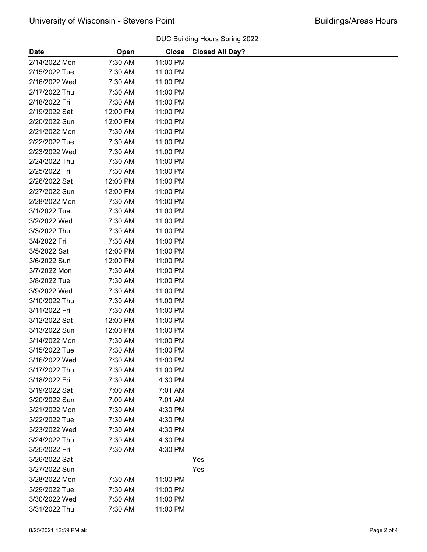|               |          |              | DOO DUINING HOURS OPHING ZUZZ |
|---------------|----------|--------------|-------------------------------|
| <b>Date</b>   | Open     | <b>Close</b> | <b>Closed All Day?</b>        |
| 2/14/2022 Mon | 7:30 AM  | 11:00 PM     |                               |
| 2/15/2022 Tue | 7:30 AM  | 11:00 PM     |                               |
| 2/16/2022 Wed | 7:30 AM  | 11:00 PM     |                               |
| 2/17/2022 Thu | 7:30 AM  | 11:00 PM     |                               |
| 2/18/2022 Fri | 7:30 AM  | 11:00 PM     |                               |
| 2/19/2022 Sat | 12:00 PM | 11:00 PM     |                               |
| 2/20/2022 Sun | 12:00 PM | 11:00 PM     |                               |
| 2/21/2022 Mon | 7:30 AM  | 11:00 PM     |                               |
| 2/22/2022 Tue | 7:30 AM  | 11:00 PM     |                               |
| 2/23/2022 Wed | 7:30 AM  | 11:00 PM     |                               |
| 2/24/2022 Thu | 7:30 AM  | 11:00 PM     |                               |
| 2/25/2022 Fri | 7:30 AM  | 11:00 PM     |                               |
| 2/26/2022 Sat | 12:00 PM | 11:00 PM     |                               |
| 2/27/2022 Sun | 12:00 PM | 11:00 PM     |                               |
| 2/28/2022 Mon | 7:30 AM  | 11:00 PM     |                               |
| 3/1/2022 Tue  | 7:30 AM  | 11:00 PM     |                               |
| 3/2/2022 Wed  | 7:30 AM  | 11:00 PM     |                               |
| 3/3/2022 Thu  | 7:30 AM  | 11:00 PM     |                               |
| 3/4/2022 Fri  | 7:30 AM  | 11:00 PM     |                               |
| 3/5/2022 Sat  | 12:00 PM | 11:00 PM     |                               |
| 3/6/2022 Sun  | 12:00 PM | 11:00 PM     |                               |
| 3/7/2022 Mon  | 7:30 AM  | 11:00 PM     |                               |
| 3/8/2022 Tue  | 7:30 AM  | 11:00 PM     |                               |
| 3/9/2022 Wed  | 7:30 AM  | 11:00 PM     |                               |
| 3/10/2022 Thu | 7:30 AM  | 11:00 PM     |                               |
| 3/11/2022 Fri | 7:30 AM  | 11:00 PM     |                               |
| 3/12/2022 Sat | 12:00 PM | 11:00 PM     |                               |
| 3/13/2022 Sun | 12:00 PM | 11:00 PM     |                               |
| 3/14/2022 Mon | 7:30 AM  | 11:00 PM     |                               |
| 3/15/2022 Tue | 7:30 AM  | 11:00 PM     |                               |
| 3/16/2022 Wed | 7:30 AM  | 11:00 PM     |                               |
| 3/17/2022 Thu | 7:30 AM  | 11:00 PM     |                               |
| 3/18/2022 Fri | 7:30 AM  | 4:30 PM      |                               |
| 3/19/2022 Sat | 7:00 AM  | 7:01 AM      |                               |
| 3/20/2022 Sun | 7:00 AM  | 7:01 AM      |                               |
| 3/21/2022 Mon | 7:30 AM  | 4:30 PM      |                               |
| 3/22/2022 Tue | 7:30 AM  | 4:30 PM      |                               |
| 3/23/2022 Wed | 7:30 AM  | 4:30 PM      |                               |
| 3/24/2022 Thu | 7:30 AM  | 4:30 PM      |                               |
| 3/25/2022 Fri | 7:30 AM  | 4:30 PM      |                               |
| 3/26/2022 Sat |          |              | Yes                           |
| 3/27/2022 Sun |          |              | Yes                           |
| 3/28/2022 Mon | 7:30 AM  | 11:00 PM     |                               |
| 3/29/2022 Tue | 7:30 AM  | 11:00 PM     |                               |
| 3/30/2022 Wed | 7:30 AM  | 11:00 PM     |                               |
| 3/31/2022 Thu | 7:30 AM  | 11:00 PM     |                               |
|               |          |              |                               |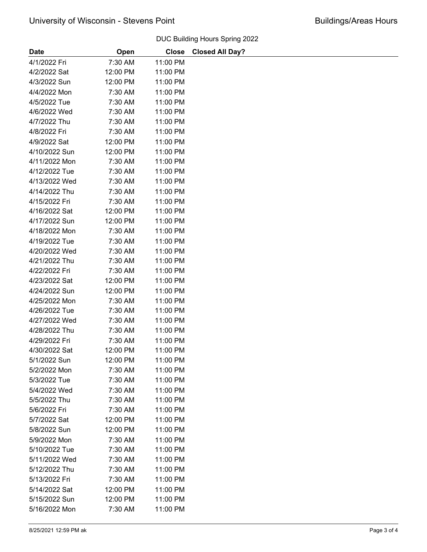### 4/1/2022 Fri 7:30 AM 11:00 PM 4/2/2022 Sat 12:00 PM 11:00 PM 4/3/2022 Sun 12:00 PM 11:00 PM 4/4/2022 Mon 7:30 AM 11:00 PM 4/5/2022 Tue 7:30 AM 11:00 PM 4/6/2022 Wed 7:30 AM 11:00 PM 4/7/2022 Thu 7:30 AM 11:00 PM 4/8/2022 Fri 7:30 AM 11:00 PM 4/9/2022 Sat 12:00 PM 11:00 PM 4/10/2022 Sun 12:00 PM 11:00 PM 4/11/2022 Mon 7:30 AM 11:00 PM 4/12/2022 Tue 7:30 AM 11:00 PM 4/13/2022 Wed 7:30 AM 11:00 PM 4/14/2022 Thu 7:30 AM 11:00 PM 4/15/2022 Fri 7:30 AM 11:00 PM 4/16/2022 Sat 12:00 PM 11:00 PM 4/17/2022 Sun 12:00 PM 11:00 PM 4/18/2022 Mon 7:30 AM 11:00 PM 4/19/2022 Tue 7:30 AM 11:00 PM 4/20/2022 Wed 7:30 AM 11:00 PM 4/21/2022 Thu 7:30 AM 11:00 PM 4/22/2022 Fri 7:30 AM 11:00 PM 4/23/2022 Sat 12:00 PM 11:00 PM 4/24/2022 Sun 12:00 PM 11:00 PM 4/25/2022 Mon 7:30 AM 11:00 PM 4/26/2022 Tue 7:30 AM 11:00 PM 4/27/2022 Wed 7:30 AM 11:00 PM 4/28/2022 Thu 7:30 AM 11:00 PM 4/29/2022 Fri 7:30 AM 11:00 PM 4/30/2022 Sat 12:00 PM 11:00 PM 5/1/2022 Sun 12:00 PM 11:00 PM 5/2/2022 Mon 7:30 AM 11:00 PM 5/3/2022 Tue 7:30 AM 11:00 PM 5/4/2022 Wed 7:30 AM 11:00 PM 5/5/2022 Thu 7:30 AM 11:00 PM 5/6/2022 Fri 7:30 AM 11:00 PM 5/7/2022 Sat 12:00 PM 11:00 PM 5/8/2022 Sun 12:00 PM 11:00 PM 5/9/2022 Mon 7:30 AM 11:00 PM 5/10/2022 Tue 7:30 AM 11:00 PM 5/11/2022 Wed 7:30 AM 11:00 PM 5/12/2022 Thu 7:30 AM 11:00 PM 5/13/2022 Fri 7:30 AM 11:00 PM 5/14/2022 Sat 12:00 PM 11:00 PM 5/15/2022 Sun 12:00 PM 11:00 PM 5/16/2022 Mon 7:30 AM 11:00 PM Date **Date** Open Close Closed All Day? DUC Building Hours Spring 2022